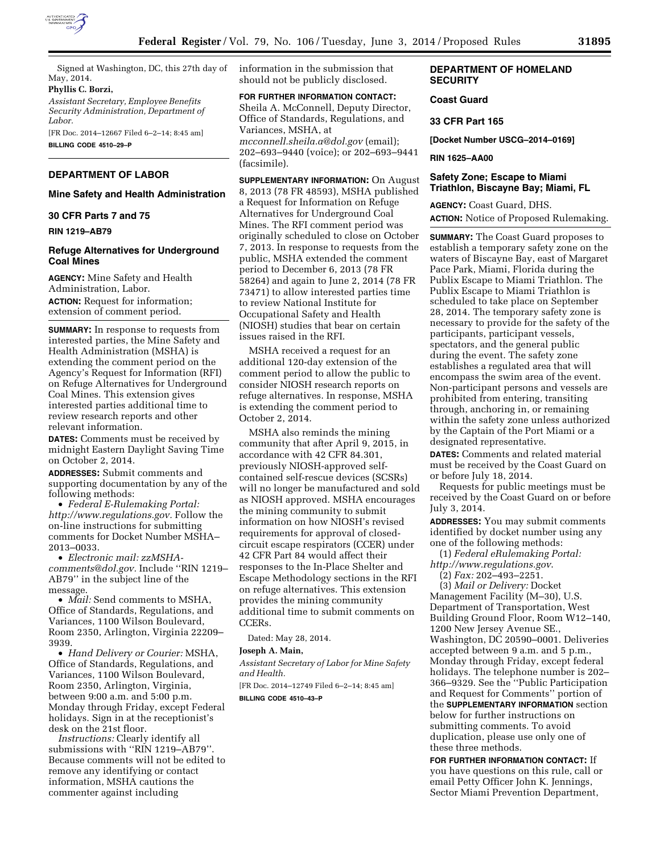

Signed at Washington, DC, this 27th day of May, 2014.

## **Phyllis C. Borzi,**

*Assistant Secretary, Employee Benefits Security Administration, Department of Labor.* 

[FR Doc. 2014–12667 Filed 6–2–14; 8:45 am] **BILLING CODE 4510–29–P** 

# **DEPARTMENT OF LABOR**

## **Mine Safety and Health Administration**

#### **30 CFR Parts 7 and 75**

#### **RIN 1219–AB79**

## **Refuge Alternatives for Underground Coal Mines**

**AGENCY:** Mine Safety and Health Administration, Labor. **ACTION:** Request for information; extension of comment period.

**SUMMARY:** In response to requests from interested parties, the Mine Safety and Health Administration (MSHA) is extending the comment period on the Agency's Request for Information (RFI) on Refuge Alternatives for Underground Coal Mines. This extension gives interested parties additional time to review research reports and other relevant information.

**DATES:** Comments must be received by midnight Eastern Daylight Saving Time on October 2, 2014.

**ADDRESSES:** Submit comments and supporting documentation by any of the following methods:

• *Federal E-Rulemaking Portal: [http://www.regulations.gov.](http://www.regulations.gov)* Follow the on-line instructions for submitting comments for Docket Number MSHA– 2013–0033.

• *Electronic mail: [zzMSHA](mailto:zzMSHA-comments@dol.gov)[comments@dol.gov.](mailto:zzMSHA-comments@dol.gov)* Include ''RIN 1219– AB79'' in the subject line of the message.

• *Mail:* Send comments to MSHA, Office of Standards, Regulations, and Variances, 1100 Wilson Boulevard, Room 2350, Arlington, Virginia 22209– 3939.

• *Hand Delivery or Courier:* MSHA, Office of Standards, Regulations, and Variances, 1100 Wilson Boulevard, Room 2350, Arlington, Virginia, between 9:00 a.m. and 5:00 p.m. Monday through Friday, except Federal holidays. Sign in at the receptionist's desk on the 21st floor.

*Instructions:* Clearly identify all submissions with ''RIN 1219–AB79''. Because comments will not be edited to remove any identifying or contact information, MSHA cautions the commenter against including

information in the submission that should not be publicly disclosed.

## **FOR FURTHER INFORMATION CONTACT:**

Sheila A. McConnell, Deputy Director, Office of Standards, Regulations, and Variances, MSHA, at *[mcconnell.sheila.a@dol.gov](mailto:mcconnell.sheila.a@dol.gov)* (email); 202–693–9440 (voice); or 202–693–9441 (facsimile).

**SUPPLEMENTARY INFORMATION:** On August 8, 2013 (78 FR 48593), MSHA published a Request for Information on Refuge Alternatives for Underground Coal Mines. The RFI comment period was originally scheduled to close on October 7, 2013. In response to requests from the public, MSHA extended the comment period to December 6, 2013 (78 FR 58264) and again to June 2, 2014 (78 FR 73471) to allow interested parties time to review National Institute for Occupational Safety and Health (NIOSH) studies that bear on certain issues raised in the RFI.

MSHA received a request for an additional 120-day extension of the comment period to allow the public to consider NIOSH research reports on refuge alternatives. In response, MSHA is extending the comment period to October 2, 2014.

MSHA also reminds the mining community that after April 9, 2015, in accordance with 42 CFR 84.301, previously NIOSH-approved selfcontained self-rescue devices (SCSRs) will no longer be manufactured and sold as NIOSH approved. MSHA encourages the mining community to submit information on how NIOSH's revised requirements for approval of closedcircuit escape respirators (CCER) under 42 CFR Part 84 would affect their responses to the In-Place Shelter and Escape Methodology sections in the RFI on refuge alternatives. This extension provides the mining community additional time to submit comments on CCERs.

Dated: May 28, 2014.

#### **Joseph A. Main,**

*Assistant Secretary of Labor for Mine Safety and Health.* 

[FR Doc. 2014–12749 Filed 6–2–14; 8:45 am]

**BILLING CODE 4510–43–P** 

## **DEPARTMENT OF HOMELAND SECURITY**

## **Coast Guard**

#### **33 CFR Part 165**

**[Docket Number USCG–2014–0169]** 

## **RIN 1625–AA00**

## **Safety Zone; Escape to Miami Triathlon, Biscayne Bay; Miami, FL**

**AGENCY:** Coast Guard, DHS. **ACTION:** Notice of Proposed Rulemaking.

**SUMMARY:** The Coast Guard proposes to establish a temporary safety zone on the waters of Biscayne Bay, east of Margaret Pace Park, Miami, Florida during the Publix Escape to Miami Triathlon. The Publix Escape to Miami Triathlon is scheduled to take place on September 28, 2014. The temporary safety zone is necessary to provide for the safety of the participants, participant vessels, spectators, and the general public during the event. The safety zone establishes a regulated area that will encompass the swim area of the event. Non-participant persons and vessels are prohibited from entering, transiting through, anchoring in, or remaining within the safety zone unless authorized by the Captain of the Port Miami or a designated representative.

**DATES:** Comments and related material must be received by the Coast Guard on or before July 18, 2014.

Requests for public meetings must be received by the Coast Guard on or before July 3, 2014.

**ADDRESSES:** You may submit comments identified by docket number using any one of the following methods:

(1) *Federal eRulemaking Portal: <http://www.regulations.gov>*.

(2) *Fax:* 202–493–2251.

(3) *Mail or Delivery:* Docket Management Facility (M–30), U.S. Department of Transportation, West Building Ground Floor, Room W12–140, 1200 New Jersey Avenue SE., Washington, DC 20590–0001. Deliveries accepted between 9 a.m. and 5 p.m., Monday through Friday, except federal holidays. The telephone number is 202– 366–9329. See the ''Public Participation and Request for Comments'' portion of the **SUPPLEMENTARY INFORMATION** section below for further instructions on submitting comments. To avoid duplication, please use only one of these three methods.

**FOR FURTHER INFORMATION CONTACT:** If you have questions on this rule, call or email Petty Officer John K. Jennings, Sector Miami Prevention Department,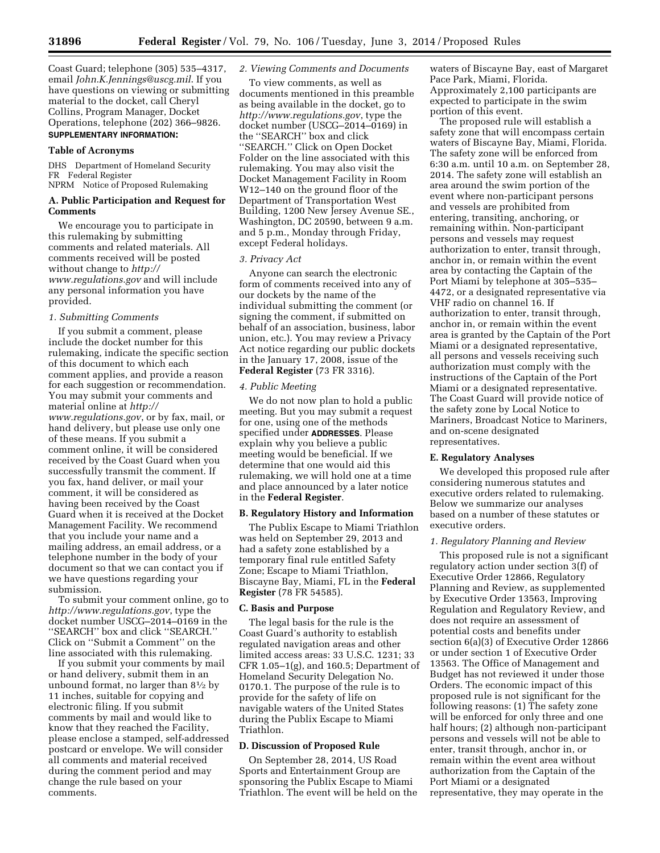Coast Guard; telephone (305) 535–4317, email *[John.K.Jennings@uscg.mil](mailto:John.K.Jennings@uscg.mil)*. If you have questions on viewing or submitting material to the docket, call Cheryl Collins, Program Manager, Docket Operations, telephone (202) 366–9826. **SUPPLEMENTARY INFORMATION:** 

#### **Table of Acronyms**

DHS Department of Homeland Security FR Federal Register NPRM Notice of Proposed Rulemaking

## **A. Public Participation and Request for Comments**

We encourage you to participate in this rulemaking by submitting comments and related materials. All comments received will be posted without change to *[http://](http://www.regulations.gov) [www.regulations.gov](http://www.regulations.gov)* and will include any personal information you have provided.

#### *1. Submitting Comments*

If you submit a comment, please include the docket number for this rulemaking, indicate the specific section of this document to which each comment applies, and provide a reason for each suggestion or recommendation. You may submit your comments and material online at *[http://](http://www.regulations.gov) [www.regulations.gov](http://www.regulations.gov)*, or by fax, mail, or hand delivery, but please use only one of these means. If you submit a comment online, it will be considered received by the Coast Guard when you successfully transmit the comment. If you fax, hand deliver, or mail your comment, it will be considered as having been received by the Coast Guard when it is received at the Docket Management Facility. We recommend that you include your name and a mailing address, an email address, or a telephone number in the body of your document so that we can contact you if we have questions regarding your submission.

To submit your comment online, go to *<http://www.regulations.gov>*, type the docket number USCG–2014–0169 in the ''SEARCH'' box and click ''SEARCH.'' Click on ''Submit a Comment'' on the line associated with this rulemaking.

If you submit your comments by mail or hand delivery, submit them in an unbound format, no larger than  $8\frac{1}{2}$  by 11 inches, suitable for copying and electronic filing. If you submit comments by mail and would like to know that they reached the Facility, please enclose a stamped, self-addressed postcard or envelope. We will consider all comments and material received during the comment period and may change the rule based on your comments.

## *2. Viewing Comments and Documents*

To view comments, as well as documents mentioned in this preamble as being available in the docket, go to *<http://www.regulations.gov>*, type the docket number (USCG–2014–0169) in the ''SEARCH'' box and click ''SEARCH.'' Click on Open Docket Folder on the line associated with this rulemaking. You may also visit the Docket Management Facility in Room W12–140 on the ground floor of the Department of Transportation West Building, 1200 New Jersey Avenue SE., Washington, DC 20590, between 9 a.m. and 5 p.m., Monday through Friday, except Federal holidays.

### *3. Privacy Act*

Anyone can search the electronic form of comments received into any of our dockets by the name of the individual submitting the comment (or signing the comment, if submitted on behalf of an association, business, labor union, etc.). You may review a Privacy Act notice regarding our public dockets in the January 17, 2008, issue of the **Federal Register** (73 FR 3316).

#### *4. Public Meeting*

We do not now plan to hold a public meeting. But you may submit a request for one, using one of the methods specified under **ADDRESSES**. Please explain why you believe a public meeting would be beneficial. If we determine that one would aid this rulemaking, we will hold one at a time and place announced by a later notice in the **Federal Register**.

## **B. Regulatory History and Information**

The Publix Escape to Miami Triathlon was held on September 29, 2013 and had a safety zone established by a temporary final rule entitled Safety Zone; Escape to Miami Triathlon, Biscayne Bay, Miami, FL in the **Federal Register** (78 FR 54585).

## **C. Basis and Purpose**

The legal basis for the rule is the Coast Guard's authority to establish regulated navigation areas and other limited access areas: 33 U.S.C. 1231; 33 CFR  $1.05-1(g)$ , and  $160.5$ ; Department of Homeland Security Delegation No. 0170.1. The purpose of the rule is to provide for the safety of life on navigable waters of the United States during the Publix Escape to Miami Triathlon.

#### **D. Discussion of Proposed Rule**

On September 28, 2014, US Road Sports and Entertainment Group are sponsoring the Publix Escape to Miami Triathlon. The event will be held on the waters of Biscayne Bay, east of Margaret Pace Park, Miami, Florida. Approximately 2,100 participants are expected to participate in the swim portion of this event.

The proposed rule will establish a safety zone that will encompass certain waters of Biscayne Bay, Miami, Florida. The safety zone will be enforced from 6:30 a.m. until 10 a.m. on September 28, 2014. The safety zone will establish an area around the swim portion of the event where non-participant persons and vessels are prohibited from entering, transiting, anchoring, or remaining within. Non-participant persons and vessels may request authorization to enter, transit through, anchor in, or remain within the event area by contacting the Captain of the Port Miami by telephone at 305–535– 4472, or a designated representative via VHF radio on channel 16. If authorization to enter, transit through, anchor in, or remain within the event area is granted by the Captain of the Port Miami or a designated representative, all persons and vessels receiving such authorization must comply with the instructions of the Captain of the Port Miami or a designated representative. The Coast Guard will provide notice of the safety zone by Local Notice to Mariners, Broadcast Notice to Mariners, and on-scene designated representatives.

#### **E. Regulatory Analyses**

We developed this proposed rule after considering numerous statutes and executive orders related to rulemaking. Below we summarize our analyses based on a number of these statutes or executive orders.

#### *1. Regulatory Planning and Review*

This proposed rule is not a significant regulatory action under section 3(f) of Executive Order 12866, Regulatory Planning and Review, as supplemented by Executive Order 13563, Improving Regulation and Regulatory Review, and does not require an assessment of potential costs and benefits under section 6(a)(3) of Executive Order 12866 or under section 1 of Executive Order 13563. The Office of Management and Budget has not reviewed it under those Orders. The economic impact of this proposed rule is not significant for the following reasons: (1) The safety zone will be enforced for only three and one half hours; (2) although non-participant persons and vessels will not be able to enter, transit through, anchor in, or remain within the event area without authorization from the Captain of the Port Miami or a designated representative, they may operate in the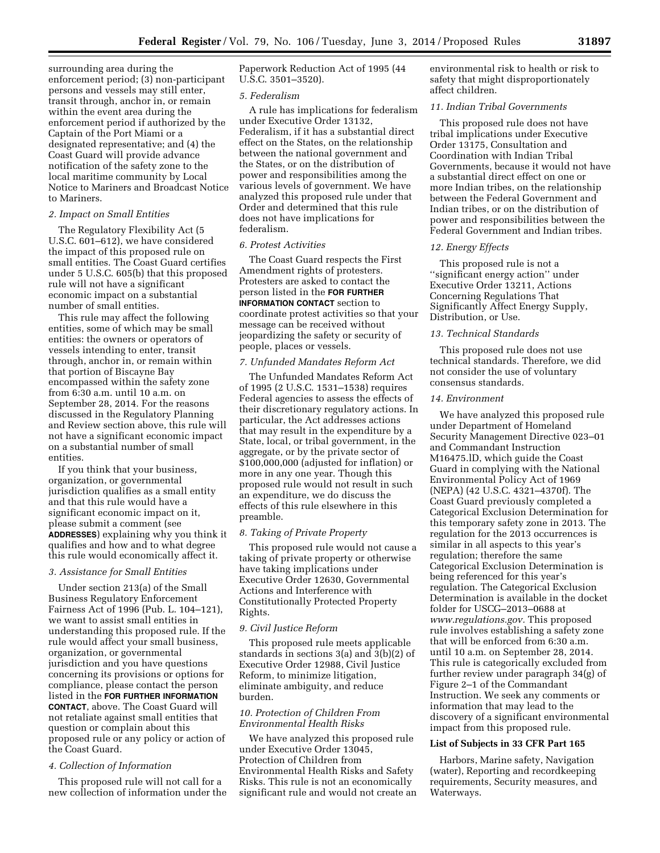surrounding area during the enforcement period; (3) non-participant persons and vessels may still enter, transit through, anchor in, or remain within the event area during the enforcement period if authorized by the Captain of the Port Miami or a designated representative; and (4) the Coast Guard will provide advance notification of the safety zone to the local maritime community by Local Notice to Mariners and Broadcast Notice to Mariners.

#### *2. Impact on Small Entities*

The Regulatory Flexibility Act (5 U.S.C. 601–612), we have considered the impact of this proposed rule on small entities. The Coast Guard certifies under 5 U.S.C. 605(b) that this proposed rule will not have a significant economic impact on a substantial number of small entities.

This rule may affect the following entities, some of which may be small entities: the owners or operators of vessels intending to enter, transit through, anchor in, or remain within that portion of Biscayne Bay encompassed within the safety zone from 6:30 a.m. until 10 a.m. on September 28, 2014. For the reasons discussed in the Regulatory Planning and Review section above, this rule will not have a significant economic impact on a substantial number of small entities.

If you think that your business, organization, or governmental jurisdiction qualifies as a small entity and that this rule would have a significant economic impact on it, please submit a comment (see **ADDRESSES**) explaining why you think it qualifies and how and to what degree this rule would economically affect it.

#### *3. Assistance for Small Entities*

Under section 213(a) of the Small Business Regulatory Enforcement Fairness Act of 1996 (Pub. L. 104–121), we want to assist small entities in understanding this proposed rule. If the rule would affect your small business, organization, or governmental jurisdiction and you have questions concerning its provisions or options for compliance, please contact the person listed in the **FOR FURTHER INFORMATION CONTACT**, above. The Coast Guard will not retaliate against small entities that question or complain about this proposed rule or any policy or action of the Coast Guard.

### *4. Collection of Information*

This proposed rule will not call for a new collection of information under the Paperwork Reduction Act of 1995 (44 U.S.C. 3501–3520).

### *5. Federalism*

A rule has implications for federalism under Executive Order 13132, Federalism, if it has a substantial direct effect on the States, on the relationship between the national government and the States, or on the distribution of power and responsibilities among the various levels of government. We have analyzed this proposed rule under that Order and determined that this rule does not have implications for federalism.

## *6. Protest Activities*

The Coast Guard respects the First Amendment rights of protesters. Protesters are asked to contact the person listed in the **FOR FURTHER INFORMATION CONTACT** section to coordinate protest activities so that your message can be received without jeopardizing the safety or security of people, places or vessels.

## *7. Unfunded Mandates Reform Act*

The Unfunded Mandates Reform Act of 1995 (2 U.S.C. 1531–1538) requires Federal agencies to assess the effects of their discretionary regulatory actions. In particular, the Act addresses actions that may result in the expenditure by a State, local, or tribal government, in the aggregate, or by the private sector of \$100,000,000 (adjusted for inflation) or more in any one year. Though this proposed rule would not result in such an expenditure, we do discuss the effects of this rule elsewhere in this preamble.

#### *8. Taking of Private Property*

This proposed rule would not cause a taking of private property or otherwise have taking implications under Executive Order 12630, Governmental Actions and Interference with Constitutionally Protected Property Rights.

## *9. Civil Justice Reform*

This proposed rule meets applicable standards in sections 3(a) and 3(b)(2) of Executive Order 12988, Civil Justice Reform, to minimize litigation, eliminate ambiguity, and reduce burden.

## *10. Protection of Children From Environmental Health Risks*

We have analyzed this proposed rule under Executive Order 13045, Protection of Children from Environmental Health Risks and Safety Risks. This rule is not an economically significant rule and would not create an environmental risk to health or risk to safety that might disproportionately affect children.

## *11. Indian Tribal Governments*

This proposed rule does not have tribal implications under Executive Order 13175, Consultation and Coordination with Indian Tribal Governments, because it would not have a substantial direct effect on one or more Indian tribes, on the relationship between the Federal Government and Indian tribes, or on the distribution of power and responsibilities between the Federal Government and Indian tribes.

## *12. Energy Effects*

This proposed rule is not a ''significant energy action'' under Executive Order 13211, Actions Concerning Regulations That Significantly Affect Energy Supply, Distribution, or Use.

### *13. Technical Standards*

This proposed rule does not use technical standards. Therefore, we did not consider the use of voluntary consensus standards.

#### *14. Environment*

We have analyzed this proposed rule under Department of Homeland Security Management Directive 023–01 and Commandant Instruction M16475.lD, which guide the Coast Guard in complying with the National Environmental Policy Act of 1969 (NEPA) (42 U.S.C. 4321–4370f). The Coast Guard previously completed a Categorical Exclusion Determination for this temporary safety zone in 2013. The regulation for the 2013 occurrences is similar in all aspects to this year's regulation; therefore the same Categorical Exclusion Determination is being referenced for this year's regulation. The Categorical Exclusion Determination is available in the docket folder for USCG–2013–0688 at *[www.regulations.gov.](http://www.regulations.gov)* This proposed rule involves establishing a safety zone that will be enforced from 6:30 a.m. until 10 a.m. on September 28, 2014. This rule is categorically excluded from further review under paragraph 34(g) of Figure 2–1 of the Commandant Instruction. We seek any comments or information that may lead to the discovery of a significant environmental impact from this proposed rule.

## **List of Subjects in 33 CFR Part 165**

Harbors, Marine safety, Navigation (water), Reporting and recordkeeping requirements, Security measures, and Waterways.